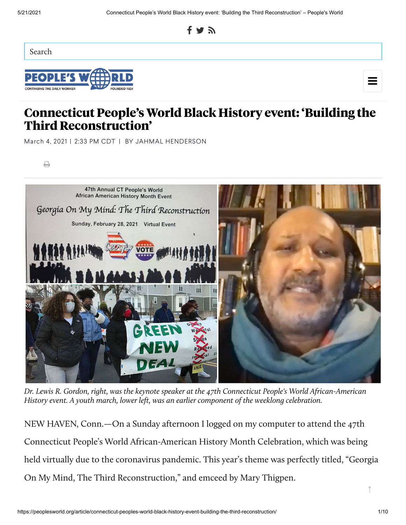

Search

₿





## **Connecticut People's World Black History event: 'Building the Third Reconstruction'**

March 4, 2021 | 2:33 PM CDT | BY JAHMAL [HENDERSON](https://peoplesworld.org/authors/jahmal-henderson/)



Dr. Lewis R. Gordon, right, was the keynote speaker at the 47th Connecticut People's World African-American History event. A youth march, lower left, was an earlier component of the weeklong celebration.

NEW HAVEN, Conn.—On a Sunday afternoon I logged on my computer to attend the 47th Connecticut People's World African-American History Month Celebration, which was being held virtually due to the coronavirus pandemic. This year's theme was perfectly titled, "Georgia On My Mind, The Third Reconstruction," and emceed by Mary Thigpen.

↑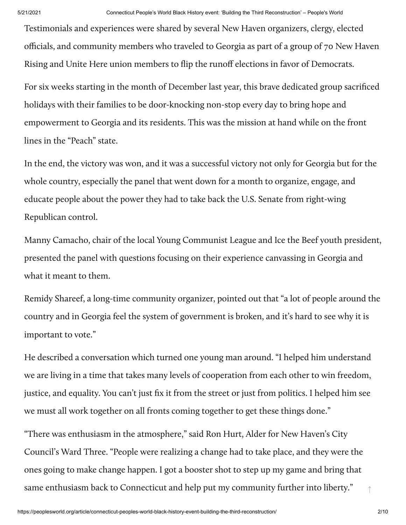Testimonials and experiences were shared by several New Haven organizers, clergy, elected officials, and community members who traveled to Georgia as part of a group of 70 New Haven Rising and Unite Here union members to flip the runoff elections in favor of Democrats.

For six weeks starting in the month of December last year, this brave dedicated group sacrificed holidays with their families to be door-knocking non-stop every day to bring hope and empowerment to Georgia and its residents. This was the mission at hand while on the front lines in the "Peach" state.

In the end, the victory was won, and it was a successful victory not only for Georgia but for the whole country, especially the panel that went down for a month to organize, engage, and educate people about the power they had to take back the U.S. Senate from right-wing Republican control.

Manny Camacho, chair of the local Young Communist League and Ice the Beef youth president, presented the panel with questions focusing on their experience canvassing in Georgia and what it meant to them.

Remidy Shareef, a long-time community organizer, pointed out that "a lot of people around the country and in Georgia feel the system of government is broken, and it's hard to see why it is important to vote."

He described a conversation which turned one young man around. "I helped him understand we are living in a time that takes many levels of cooperation from each other to win freedom, justice, and equality. You can't just fix it from the street or just from politics. I helped him see we must all work together on all fronts coming together to get these things done."

"There was enthusiasm in the atmosphere," said Ron Hurt, Alder for New Haven's City Council's Ward Three. "People were realizing a change had to take place, and they were the ones going to make change happen. I got a booster shot to step up my game and bring that same enthusiasm back to Connecticut and help put my community further into liberty." $\uparrow$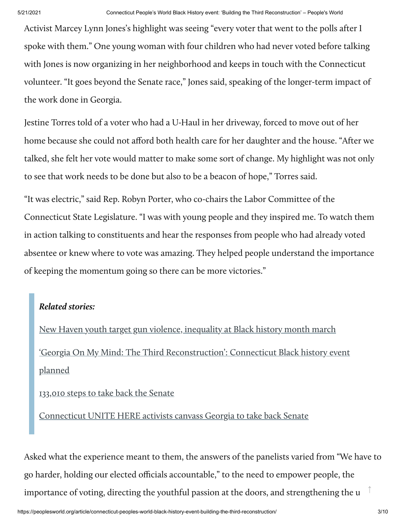Activist Marcey Lynn Jones's highlight was seeing "every voter that went to the polls after I spoke with them." One young woman with four children who had never voted before talking with Jones is now organizing in her neighborhood and keeps in touch with the Connecticut volunteer. "It goes beyond the Senate race," Jones said, speaking of the longer-term impact of the work done in Georgia.

Jestine Torres told of a voter who had a U-Haul in her driveway, forced to move out of her home because she could not afford both health care for her daughter and the house. "After we talked, she felt her vote would matter to make some sort of change. My highlight was not only to see that work needs to be done but also to be a beacon of hope," Torres said.

"It was electric," said Rep. Robyn Porter, who co-chairs the Labor Committee of the Connecticut State Legislature. "I was with young people and they inspired me. To watch them in action talking to constituents and hear the responses from people who had already voted absentee or knew where to vote was amazing. They helped people understand the importance of keeping the momentum going so there can be more victories."

## **Related stories:**

New Haven youth target gun violence, inequality at [Black history](https://www.peoplesworld.org/article/new-haven-youth-target-gun-violence-inequality-at-black-history-month-march/) month march 'Georgia On My Mind: The Third [Reconstruction':](https://www.peoplesworld.org/article/georgia-on-my-mind-the-third-reconstruction-connecticut-black-history-event-planned/) Connecticut Black history event planned

133,010 steps to take [back the](https://www.peoplesworld.org/article/133010-steps-to-take-back-the-senate/) Senate

[Connecticut](https://www.peoplesworld.org/article/connecticut-unite-here-activists-canvass-georgia-to-take-back-senate/) UNITE HERE activists canvass Georgia to take back Senate

Asked what the experience meant to them, the answers of the panelists varied from "We have to go harder, holding our elected officials accountable," to the need to empower people, the importance of voting, directing the youthful passion at the doors, and strengthening the u ↑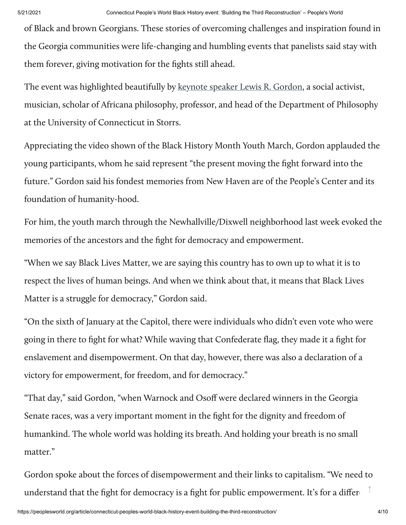of Black and brown Georgians. These stories of overcoming challenges and inspiration found in the Georgia communities were life-changing and humbling events that panelists said stay with them forever, giving motivation for the fights still ahead.

The event was highlighted beautifully by [keynote](https://youtu.be/KA_9YK28QJo) speaker Lewis R. Gordon, a social activist, musician, scholar of Africana philosophy, professor, and head of the Department of Philosophy at the University of Connecticut in Storrs.

Appreciating the video shown of the Black History Month Youth March, Gordon applauded the young participants, whom he said represent "the present moving the fight forward into the future." Gordon said his fondest memories from New Haven are of the People's Center and its foundation of humanity-hood.

For him, the youth march through the Newhallville/Dixwell neighborhood last week evoked the memories of the ancestors and the fight for democracy and empowerment.

"When we say Black Lives Matter, we are saying this country has to own up to what it is to respect the lives of human beings. And when we think about that, it means that Black Lives Matter is a struggle for democracy," Gordon said.

"On the sixth of January at the Capitol, there were individuals who didn't even vote who were going in there to fight for what? While waving that Confederate flag, they made it a fight for enslavement and disempowerment. On that day, however, there was also a declaration of a victory for empowerment, for freedom, and for democracy."

"That day," said Gordon, "when Warnock and Osoff were declared winners in the Georgia Senate races, was a very important moment in the fight for the dignity and freedom of humankind. The whole world was holding its breath. And holding your breath is no small matter."

Gordon spoke about the forces of disempowerment and their links to capitalism. "We need to understand that the fight for democracy is a fight for public empowerment. It's for a differet  $\hat{\top}$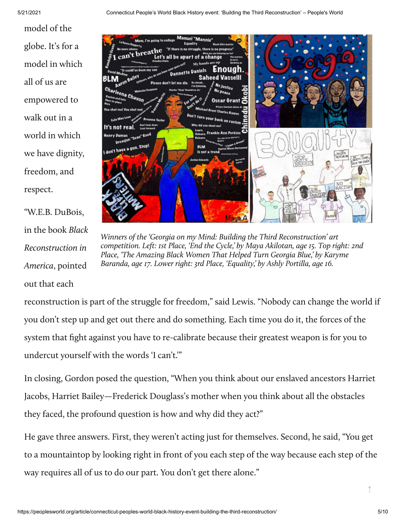model of the globe. It's for a model in which all of us are empowered to walk out in a world in which we have dignity, freedom, and respect.

"W.E.B. DuBois, in the book Black Reconstruction in America, pointed out that each



Winners of the 'Georgia on my Mind: Building the Third Reconstruction' art competition. Left: 1st Place, 'End the Cycle,' by Maya Akilotan, age 15. Top right: 2nd Place, 'The Amazing Black Women That Helped Turn Georgia Blue,' by Karyme Baranda, age 17. Lower right: 3rd Place, 'Equality,' by Ashly Portilla, age 16.

reconstruction is part of the struggle for freedom," said Lewis. "Nobody can change the world if you don't step up and get out there and do something. Each time you do it, the forces of the system that fight against you have to re-calibrate because their greatest weapon is for you to undercut yourself with the words 'I can't.'"

In closing, Gordon posed the question, "When you think about our enslaved ancestors Harriet Jacobs, Harriet Bailey—Frederick Douglass's mother when you think about all the obstacles they faced, the profound question is how and why did they act?"

He gave three answers. First, they weren't acting just for themselves. Second, he said, "You get to a mountaintop by looking right in front of you each step of the way because each step of the way requires all of us to do our part. You don't get there alone."

↑